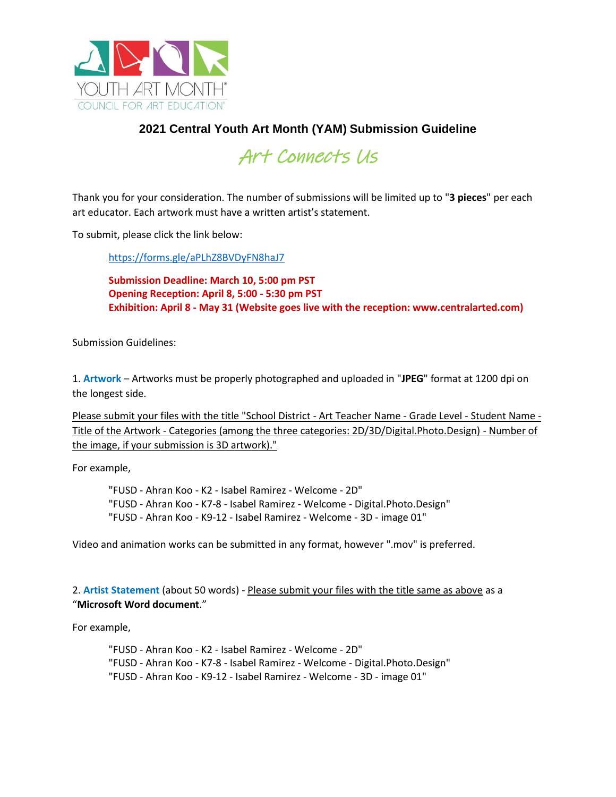

## **2021 Central Youth Art Month (YAM) Submission Guideline**



Thank you for your consideration. The number of submissions will be limited up to "**3 pieces**" per each art educator. Each artwork must have a written artist's statement.

To submit, please click the link below:

<https://forms.gle/aPLhZ8BVDyFN8haJ7>

**Submission Deadline: March 10, 5:00 pm PST Opening Reception: April 8, 5:00 - 5:30 pm PST Exhibition: April 8 - May 31 (Website goes live with the reception: www.centralarted.com)**

Submission Guidelines:

1. **Artwork** – Artworks must be properly photographed and uploaded in "**JPEG**" format at 1200 dpi on the longest side.

Please submit your files with the title "School District - Art Teacher Name - Grade Level - Student Name - Title of the Artwork - Categories (among the three categories: 2D/3D/Digital.Photo.Design) - Number of the image, if your submission is 3D artwork)."

For example,

"FUSD - Ahran Koo - K2 - Isabel Ramirez - Welcome - 2D" "FUSD - Ahran Koo - K7-8 - Isabel Ramirez - Welcome - Digital.Photo.Design" "FUSD - Ahran Koo - K9-12 - Isabel Ramirez - Welcome - 3D - image 01"

Video and animation works can be submitted in any format, however ".mov" is preferred.

2. **Artist Statement** (about 50 words) - Please submit your files with the title same as above as a "**Microsoft Word document**."

For example,

"FUSD - Ahran Koo - K2 - Isabel Ramirez - Welcome - 2D" "FUSD - Ahran Koo - K7-8 - Isabel Ramirez - Welcome - Digital.Photo.Design" "FUSD - Ahran Koo - K9-12 - Isabel Ramirez - Welcome - 3D - image 01"